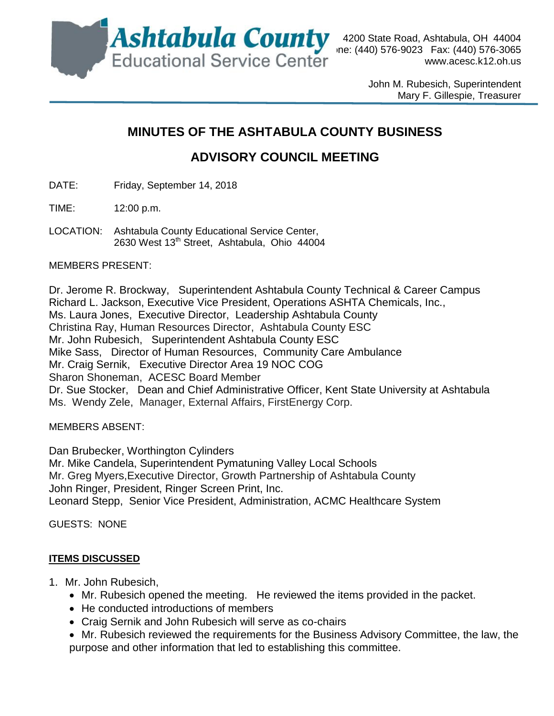

4200 State Road, Ashtabula, OH 44004 [www.acesc.k12.oh.us](http://www.acesc.k12.oh.us/)

> John M. Rubesich, Superintendent Mary F. Gillespie, Treasurer

## **MINUTES OF THE ASHTABULA COUNTY BUSINESS**

# **ADVISORY COUNCIL MEETING**

DATE: Friday, September 14, 2018

TIME: 12:00 p.m.

LOCATION: Ashtabula County Educational Service Center, 2630 West 13<sup>th</sup> Street, Ashtabula, Ohio 44004

MEMBERS PRESENT:

Dr. Jerome R. Brockway, Superintendent Ashtabula County Technical & Career Campus Richard L. Jackson, Executive Vice President, Operations ASHTA Chemicals, Inc., Ms. Laura Jones, Executive Director, Leadership Ashtabula County Christina Ray, Human Resources Director, Ashtabula County ESC Mr. John Rubesich, Superintendent Ashtabula County ESC Mike Sass, Director of Human Resources, Community Care Ambulance Mr. Craig Sernik, Executive Director Area 19 NOC COG Sharon Shoneman, ACESC Board Member Dr. Sue Stocker, Dean and Chief Administrative Officer, Kent State University at Ashtabula Ms. Wendy Zele, Manager, External Affairs, FirstEnergy Corp.

MEMBERS ABSENT:

Dan Brubecker, Worthington Cylinders Mr. Mike Candela, Superintendent Pymatuning Valley Local Schools Mr. Greg Myers,Executive Director, Growth Partnership of Ashtabula County John Ringer, President, Ringer Screen Print, Inc. Leonard Stepp, Senior Vice President, Administration, ACMC Healthcare System

GUESTS: NONE

#### **ITEMS DISCUSSED**

- 1. Mr. John Rubesich,
	- Mr. Rubesich opened the meeting. He reviewed the items provided in the packet.
	- He conducted introductions of members
	- Craig Sernik and John Rubesich will serve as co-chairs
	- Mr. Rubesich reviewed the requirements for the Business Advisory Committee, the law, the purpose and other information that led to establishing this committee.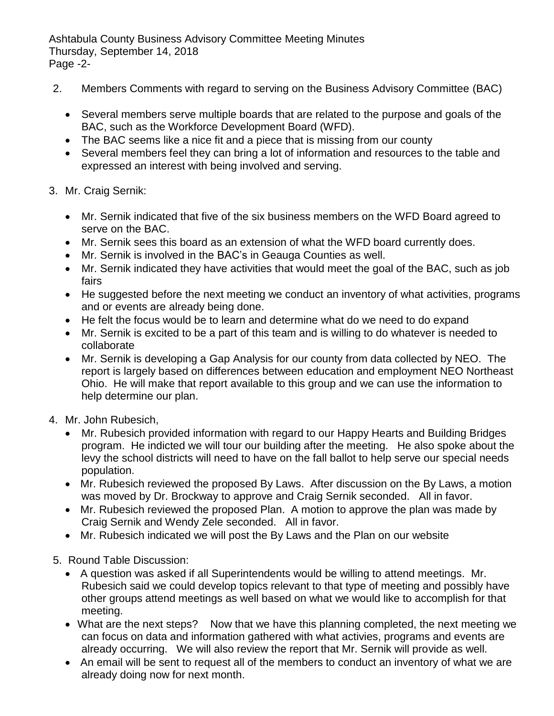Ashtabula County Business Advisory Committee Meeting Minutes Thursday, September 14, 2018 Page -2-

- 2. Members Comments with regard to serving on the Business Advisory Committee (BAC)
	- Several members serve multiple boards that are related to the purpose and goals of the BAC, such as the Workforce Development Board (WFD).
	- The BAC seems like a nice fit and a piece that is missing from our county
	- Several members feel they can bring a lot of information and resources to the table and expressed an interest with being involved and serving.
- 3. Mr. Craig Sernik:
	- Mr. Sernik indicated that five of the six business members on the WFD Board agreed to serve on the BAC.
	- Mr. Sernik sees this board as an extension of what the WFD board currently does.
	- Mr. Sernik is involved in the BAC's in Geauga Counties as well.
	- Mr. Sernik indicated they have activities that would meet the goal of the BAC, such as job fairs
	- He suggested before the next meeting we conduct an inventory of what activities, programs and or events are already being done.
	- He felt the focus would be to learn and determine what do we need to do expand
	- Mr. Sernik is excited to be a part of this team and is willing to do whatever is needed to collaborate
	- Mr. Sernik is developing a Gap Analysis for our county from data collected by NEO. The report is largely based on differences between education and employment NEO Northeast Ohio. He will make that report available to this group and we can use the information to help determine our plan.
- 4. Mr. John Rubesich,
	- Mr. Rubesich provided information with regard to our Happy Hearts and Building Bridges program. He indicted we will tour our building after the meeting. He also spoke about the levy the school districts will need to have on the fall ballot to help serve our special needs population.
	- Mr. Rubesich reviewed the proposed By Laws. After discussion on the By Laws, a motion was moved by Dr. Brockway to approve and Craig Sernik seconded. All in favor.
	- Mr. Rubesich reviewed the proposed Plan. A motion to approve the plan was made by Craig Sernik and Wendy Zele seconded. All in favor.
	- Mr. Rubesich indicated we will post the By Laws and the Plan on our website
- 5. Round Table Discussion:
	- A question was asked if all Superintendents would be willing to attend meetings. Mr. Rubesich said we could develop topics relevant to that type of meeting and possibly have other groups attend meetings as well based on what we would like to accomplish for that meeting.
	- What are the next steps? Now that we have this planning completed, the next meeting we can focus on data and information gathered with what activies, programs and events are already occurring. We will also review the report that Mr. Sernik will provide as well.
	- An email will be sent to request all of the members to conduct an inventory of what we are already doing now for next month.